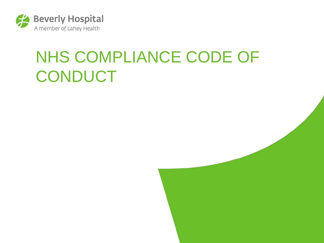

#### NHS COMPLIANCE CODE OF **CONDUCT**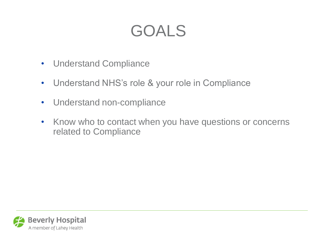#### GOALS

- Understand Compliance
- Understand NHS's role & your role in Compliance
- Understand non-compliance
- Know who to contact when you have questions or concerns related to Compliance

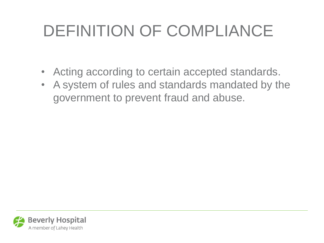## DEFINITION OF COMPLIANCE

- Acting according to certain accepted standards.
- A system of rules and standards mandated by the government to prevent fraud and abuse.

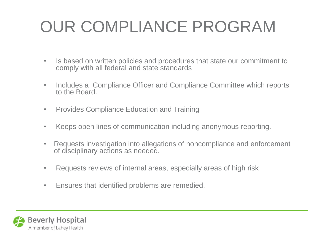## OUR COMPLIANCE PROGRAM

- Is based on written policies and procedures that state our commitment to comply with all federal and state standards
- Includes a Compliance Officer and Compliance Committee which reports to the Board.
- Provides Compliance Education and Training
- Keeps open lines of communication including anonymous reporting.
- Requests investigation into allegations of noncompliance and enforcement of disciplinary actions as needed.
- Requests reviews of internal areas, especially areas of high risk
- Ensures that identified problems are remedied.

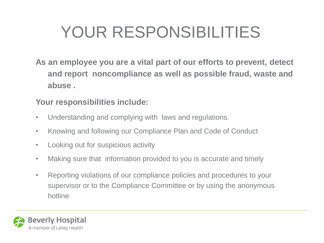## YOUR RESPONSIBILITIES

**As an employee you are a vital part of our efforts to prevent, detect and report noncompliance as well as possible fraud, waste and abuse .** 

#### **Your responsibilities include:**

- Understanding and complying with laws and regulations.
- Knowing and following our Compliance Plan and Code of Conduct
- Looking out for suspicious activity
- Making sure that information provided to you is accurate and timely
- Reporting violations of our compliance policies and procedures to your supervisor or to the Compliance Committee or by using the anonymous hotline

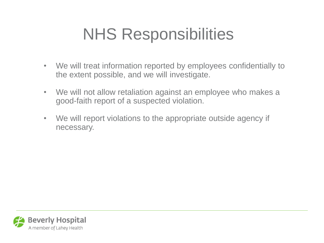### NHS Responsibilities

- We will treat information reported by employees confidentially to the extent possible, and we will investigate.
- We will not allow retaliation against an employee who makes a good-faith report of a suspected violation.
- We will report violations to the appropriate outside agency if necessary.

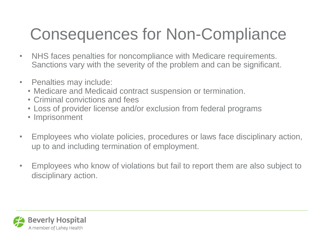### Consequences for Non-Compliance

- NHS faces penalties for noncompliance with Medicare requirements. Sanctions vary with the severity of the problem and can be significant.
- Penalties may include:
	- Medicare and Medicaid contract suspension or termination.
	- Criminal convictions and fees
	- Loss of provider license and/or exclusion from federal programs
	- Imprisonment
- Employees who violate policies, procedures or laws face disciplinary action, up to and including termination of employment.
- Employees who know of violations but fail to report them are also subject to disciplinary action.

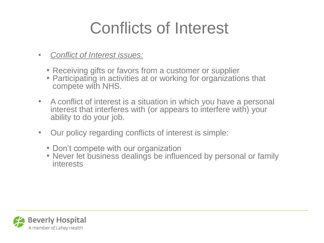#### Conflicts of Interest

- *Conflict of Interest issues:*
	- Receiving gifts or favors from a customer or supplier
	- Participating in activities at or working for organizations that compete with NHS.
- A conflict of interest is a situation in which you have a personal interest that interferes with (or appears to interfere with) your ability to do your job.
- Our policy regarding conflicts of interest is simple:
	- Don't compete with our organization
	- Never let business dealings be influenced by personal or family interests

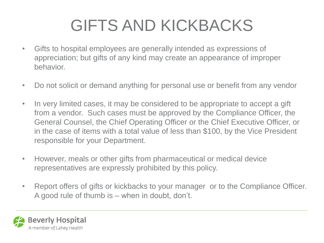### GIFTS AND KICKBACKS

- Gifts to hospital employees are generally intended as expressions of appreciation; but gifts of any kind may create an appearance of improper behavior.
- Do not solicit or demand anything for personal use or benefit from any vendor
- In very limited cases, it may be considered to be appropriate to accept a gift from a vendor. Such cases must be approved by the Compliance Officer, the General Counsel, the Chief Operating Officer or the Chief Executive Officer, or in the case of items with a total value of less than \$100, by the Vice President responsible for your Department.
- However, meals or other gifts from pharmaceutical or medical device representatives are expressly prohibited by this policy.
- Report offers of gifts or kickbacks to your manager or to the Compliance Officer. A good rule of thumb is – when in doubt, don't.

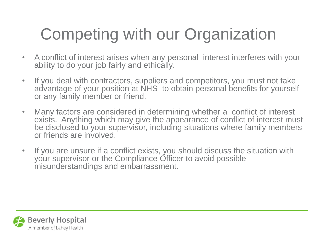## Competing with our Organization

- A conflict of interest arises when any personal interest interferes with your ability to do your job fairly and ethically.
- If you deal with contractors, suppliers and competitors, you must not take advantage of your position at NHS to obtain personal benefits for yourself or any family member or friend.
- Many factors are considered in determining whether a conflict of interest exists. Anything which may give the appearance of conflict of interest must be disclosed to your supervisor, including situations where family members or friends are involved.
- If you are unsure if a conflict exists, you should discuss the situation with your supervisor or the Compliance Officer to avoid possible misunderstandings and embarrassment.

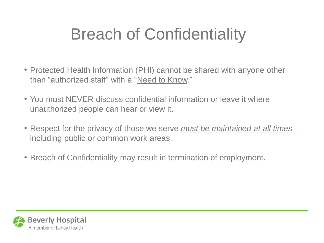### Breach of Confidentiality

- Protected Health Information (PHI) cannot be shared with anyone other than "authorized staff" with a "Need to Know."
- You must NEVER discuss confidential information or leave it where unauthorized people can hear or view it.
- Respect for the privacy of those we serve *must be maintained at all times* including public or common work areas.
- Breach of Confidentiality may result in termination of employment.

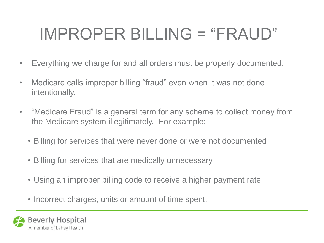## IMPROPER BILLING = "FRAUD"

- Everything we charge for and all orders must be properly documented.
- Medicare calls improper billing "fraud" even when it was not done intentionally.
- "Medicare Fraud" is a general term for any scheme to collect money from the Medicare system illegitimately. For example:
	- Billing for services that were never done or were not documented
	- Billing for services that are medically unnecessary
	- Using an improper billing code to receive a higher payment rate
	- Incorrect charges, units or amount of time spent.

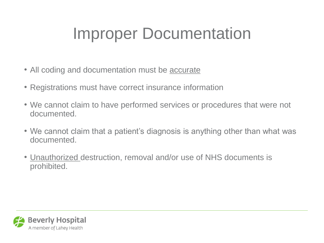### Improper Documentation

- All coding and documentation must be accurate
- Registrations must have correct insurance information
- We cannot claim to have performed services or procedures that were not documented.
- We cannot claim that a patient's diagnosis is anything other than what was documented.
- Unauthorized destruction, removal and/or use of NHS documents is prohibited.

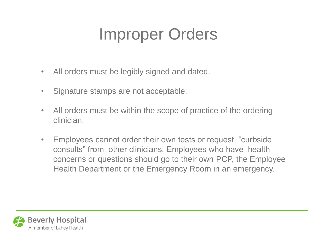#### Improper Orders

- All orders must be legibly signed and dated.
- Signature stamps are not acceptable.
- All orders must be within the scope of practice of the ordering clinician.
- Employees cannot order their own tests or request "curbside consults" from other clinicians. Employees who have health concerns or questions should go to their own PCP, the Employee Health Department or the Emergency Room in an emergency.

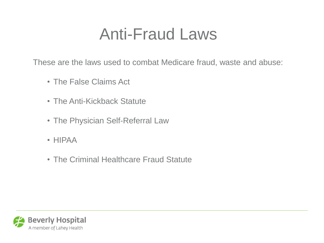#### Anti-Fraud Laws

These are the laws used to combat Medicare fraud, waste and abuse:

- The False Claims Act
- The Anti-Kickback Statute
- The Physician Self-Referral Law
- HIPAA
- The Criminal Healthcare Fraud Statute

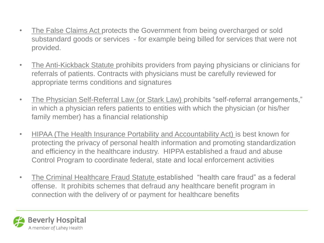- The False Claims Act protects the Government from being overcharged or sold substandard goods or services - for example being billed for services that were not provided.
- The Anti-Kickback Statute prohibits providers from paying physicians or clinicians for referrals of patients. Contracts with physicians must be carefully reviewed for appropriate terms conditions and signatures
- The Physician Self-Referral Law (or Stark Law) prohibits "self-referral arrangements," in which a physician refers patients to entities with which the physician (or his/her family member) has a financial relationship
- HIPAA (The Health Insurance Portability and Accountability Act) is best known for protecting the privacy of personal health information and promoting standardization and efficiency in the healthcare industry. HIPPA established a fraud and abuse Control Program to coordinate federal, state and local enforcement activities
- The Criminal Healthcare Fraud Statute established "health care fraud" as a federal offense. It prohibits schemes that defraud any healthcare benefit program in connection with the delivery of or payment for healthcare benefits

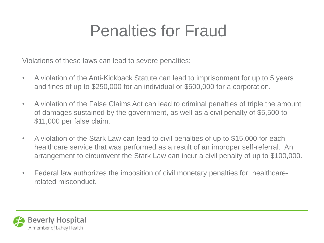#### Penalties for Fraud

Violations of these laws can lead to severe penalties:

- A violation of the Anti-Kickback Statute can lead to imprisonment for up to 5 years and fines of up to \$250,000 for an individual or \$500,000 for a corporation.
- A violation of the False Claims Act can lead to criminal penalties of triple the amount of damages sustained by the government, as well as a civil penalty of \$5,500 to \$11,000 per false claim.
- A violation of the Stark Law can lead to civil penalties of up to \$15,000 for each healthcare service that was performed as a result of an improper self-referral. An arrangement to circumvent the Stark Law can incur a civil penalty of up to \$100,000.
- Federal law authorizes the imposition of civil monetary penalties for healthcarerelated misconduct.

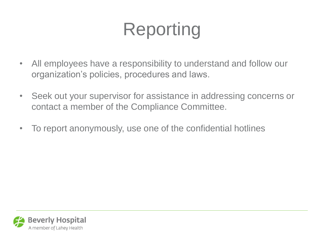## Reporting

- All employees have a responsibility to understand and follow our organization's policies, procedures and laws.
- Seek out your supervisor for assistance in addressing concerns or contact a member of the Compliance Committee.
- To report anonymously, use one of the confidential hotlines

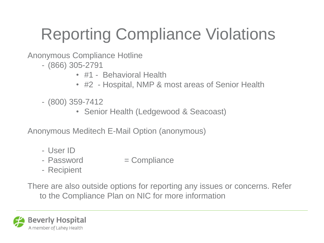## Reporting Compliance Violations

Anonymous Compliance Hotline

- (866) 305-2791
	- #1 Behavioral Health
	- #2 Hospital, NMP & most areas of Senior Health
- (800) 359-7412
	- Senior Health (Ledgewood & Seacoast)

Anonymous Meditech E-Mail Option (anonymous)

- User ID
- $-$  Password  $=$  Compliance
- Recipient

There are also outside options for reporting any issues or concerns. Refer to the Compliance Plan on NIC for more information

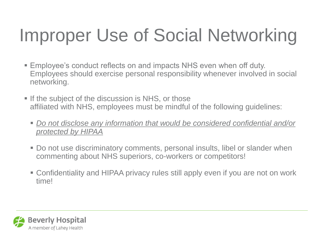# Improper Use of Social Networking

- Employee's conduct reflects on and impacts NHS even when off duty. Employees should exercise personal responsibility whenever involved in social networking.
- If the subject of the discussion is NHS, or those affiliated with NHS, employees must be mindful of the following guidelines:
	- *Do not disclose any information that would be considered confidential and/or protected by HIPAA*
	- Do not use discriminatory comments, personal insults, libel or slander when commenting about NHS superiors, co-workers or competitors!
	- Confidentiality and HIPAA privacy rules still apply even if you are not on work time!

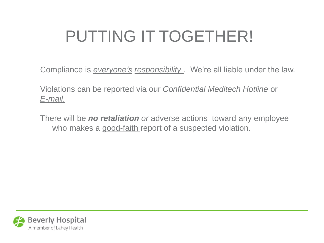## PUTTING IT TOGETHER!

Compliance is *everyone's responsibility* . We're all liable under the law.

Violations can be reported via our *Confidential Meditech Hotline* or *E-mail.*

There will be *no retaliation or* adverse actions toward any employee who makes a good-faith report of a suspected violation.